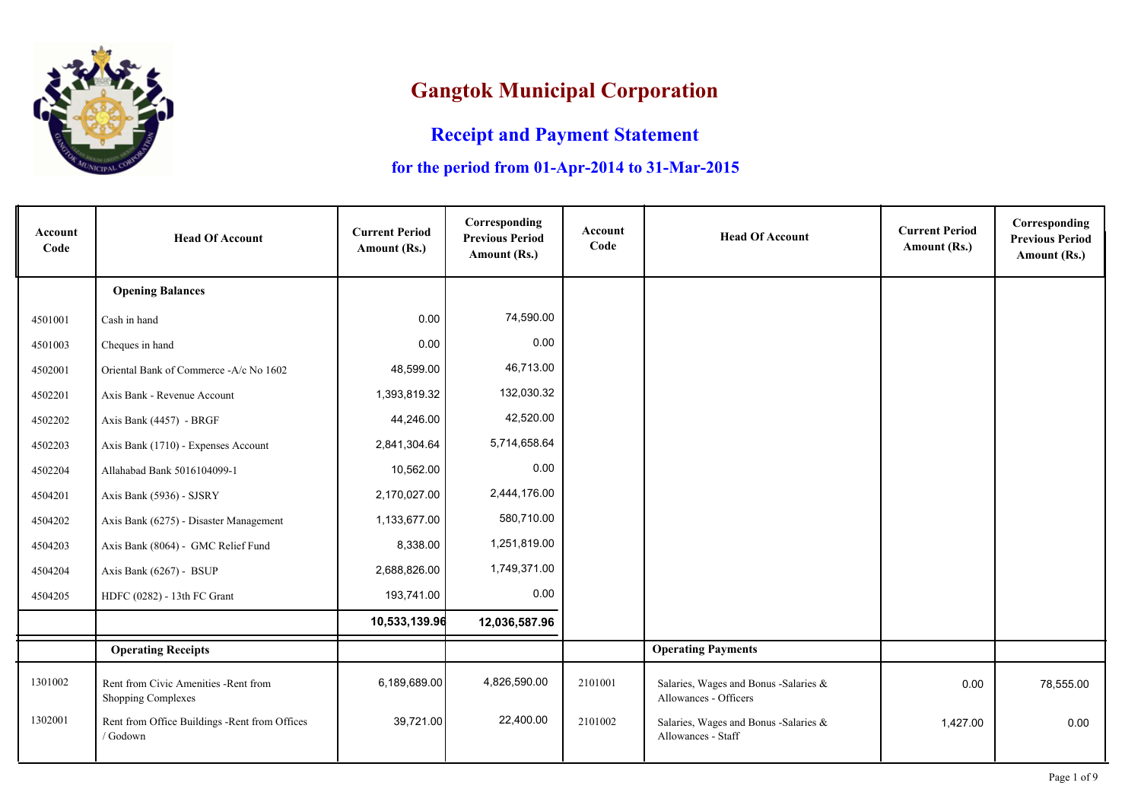

## **Gangtok Municipal Corporation**

## **Receipt and Payment Statement**

## **for the period from 01-Apr-2014 to 31-Mar-2015**

| Account<br>Code | <b>Head Of Account</b>                                             | <b>Current Period</b><br>Amount (Rs.) | Corresponding<br><b>Previous Period</b><br>Amount (Rs.) | Account<br>Code | <b>Head Of Account</b>                                         | <b>Current Period</b><br>Amount (Rs.) | Corresponding<br><b>Previous Period</b><br>Amount (Rs.) |
|-----------------|--------------------------------------------------------------------|---------------------------------------|---------------------------------------------------------|-----------------|----------------------------------------------------------------|---------------------------------------|---------------------------------------------------------|
|                 | <b>Opening Balances</b>                                            |                                       |                                                         |                 |                                                                |                                       |                                                         |
| 4501001         | Cash in hand                                                       | 0.00                                  | 74,590.00                                               |                 |                                                                |                                       |                                                         |
| 4501003         | Cheques in hand                                                    | 0.00                                  | 0.00                                                    |                 |                                                                |                                       |                                                         |
| 4502001         | Oriental Bank of Commerce -A/c No 1602                             | 48,599.00                             | 46,713.00                                               |                 |                                                                |                                       |                                                         |
| 4502201         | Axis Bank - Revenue Account                                        | 1,393,819.32                          | 132,030.32                                              |                 |                                                                |                                       |                                                         |
| 4502202         | Axis Bank (4457) - BRGF                                            | 44,246.00                             | 42,520.00                                               |                 |                                                                |                                       |                                                         |
| 4502203         | Axis Bank (1710) - Expenses Account                                | 2,841,304.64                          | 5,714,658.64                                            |                 |                                                                |                                       |                                                         |
| 4502204         | Allahabad Bank 5016104099-1                                        | 10,562.00                             | 0.00                                                    |                 |                                                                |                                       |                                                         |
| 4504201         | Axis Bank (5936) - SJSRY                                           | 2,170,027.00                          | 2,444,176.00                                            |                 |                                                                |                                       |                                                         |
| 4504202         | Axis Bank (6275) - Disaster Management                             | 1,133,677.00                          | 580,710.00                                              |                 |                                                                |                                       |                                                         |
| 4504203         | Axis Bank (8064) - GMC Relief Fund                                 | 8,338.00                              | 1,251,819.00                                            |                 |                                                                |                                       |                                                         |
| 4504204         | Axis Bank (6267) - BSUP                                            | 2,688,826.00                          | 1,749,371.00                                            |                 |                                                                |                                       |                                                         |
| 4504205         | HDFC (0282) - 13th FC Grant                                        | 193,741.00                            | 0.00                                                    |                 |                                                                |                                       |                                                         |
|                 |                                                                    | 10,533,139.96                         | 12,036,587.96                                           |                 |                                                                |                                       |                                                         |
|                 | <b>Operating Receipts</b>                                          |                                       |                                                         |                 | <b>Operating Payments</b>                                      |                                       |                                                         |
| 1301002         | Rent from Civic Amenities - Rent from<br><b>Shopping Complexes</b> | 6,189,689.00                          | 4,826,590.00                                            | 2101001         | Salaries, Wages and Bonus -Salaries &<br>Allowances - Officers | 0.00                                  | 78,555.00                                               |
| 1302001         | Rent from Office Buildings -Rent from Offices<br>/ Godown          | 39,721.00                             | 22,400.00                                               | 2101002         | Salaries, Wages and Bonus -Salaries &<br>Allowances - Staff    | 1,427.00                              | 0.00                                                    |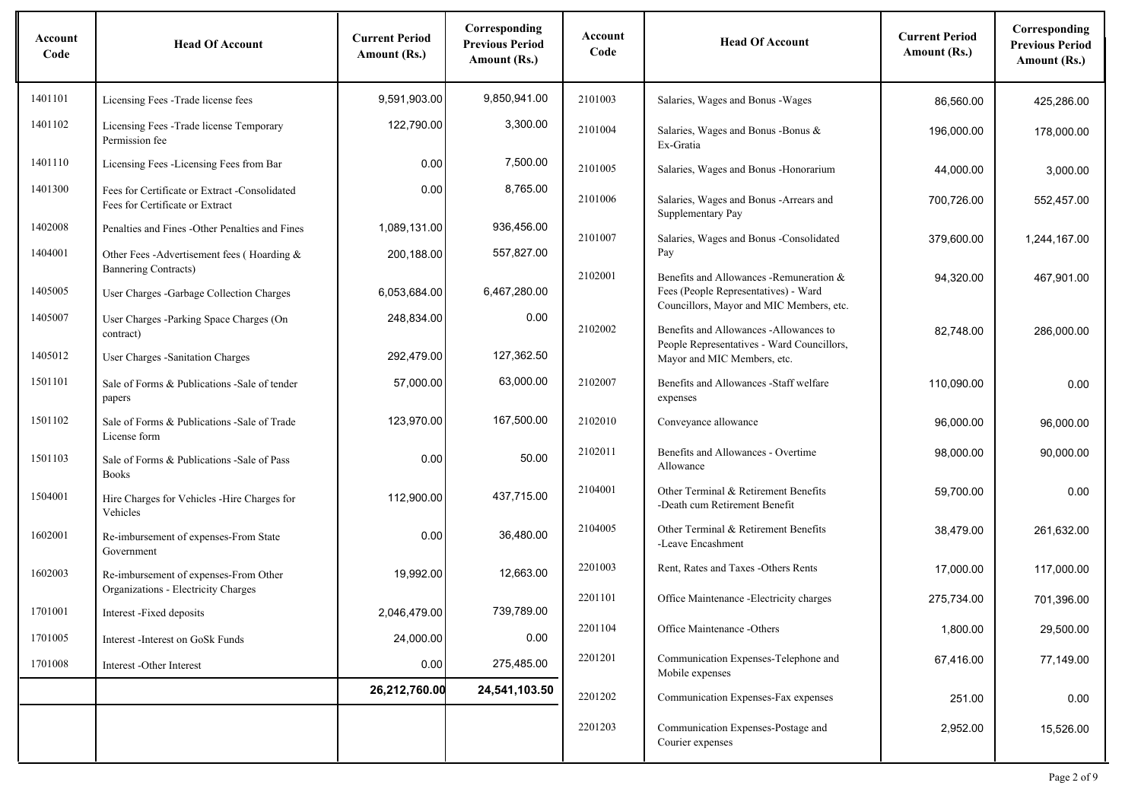| Account<br>Code | <b>Head Of Account</b>                                                           | <b>Current Period</b><br>Amount (Rs.) | Corresponding<br><b>Previous Period</b><br>Amount (Rs.) | Account<br>Code | <b>Head Of Account</b>                                                                                                       | <b>Current Period</b><br>Amount (Rs.) | Corresponding<br><b>Previous Period</b><br>Amount (Rs.) |
|-----------------|----------------------------------------------------------------------------------|---------------------------------------|---------------------------------------------------------|-----------------|------------------------------------------------------------------------------------------------------------------------------|---------------------------------------|---------------------------------------------------------|
| 1401101         | Licensing Fees -Trade license fees                                               | 9,591,903.00                          | 9,850,941.00                                            | 2101003         | Salaries, Wages and Bonus - Wages                                                                                            | 86,560.00                             | 425,286.00                                              |
| 1401102         | Licensing Fees - Trade license Temporary<br>Permission fee                       | 122,790.00                            | 3,300.00                                                | 2101004         | Salaries, Wages and Bonus - Bonus &<br>Ex-Gratia                                                                             | 196,000.00                            | 178,000.00                                              |
| 1401110         | Licensing Fees -Licensing Fees from Bar                                          | 0.00                                  | 7,500.00                                                | 2101005         | Salaries, Wages and Bonus - Honorarium                                                                                       | 44,000.00                             | 3,000.00                                                |
| 1401300         | Fees for Certificate or Extract -Consolidated<br>Fees for Certificate or Extract | 0.00                                  | 8,765.00                                                | 2101006         | Salaries, Wages and Bonus - Arrears and<br>Supplementary Pay                                                                 | 700,726.00                            | 552,457.00                                              |
| 1402008         | Penalties and Fines - Other Penalties and Fines                                  | 1,089,131.00                          | 936,456.00                                              | 2101007         | Salaries, Wages and Bonus -Consolidated                                                                                      | 379,600.00                            | 1,244,167.00                                            |
| 1404001         | Other Fees - Advertisement fees (Hoarding &<br><b>Bannering Contracts)</b>       | 200,188.00                            | 557,827.00                                              |                 | Pay                                                                                                                          |                                       |                                                         |
| 1405005         | User Charges -Garbage Collection Charges                                         | 6,053,684.00                          | 6,467,280.00                                            | 2102001         | Benefits and Allowances - Remuneration &<br>Fees (People Representatives) - Ward<br>Councillors, Mayor and MIC Members, etc. | 94,320.00                             | 467,901.00                                              |
| 1405007         | User Charges -Parking Space Charges (On<br>contract)                             | 248,834.00                            | 0.00                                                    | 2102002         | Benefits and Allowances -Allowances to<br>People Representatives - Ward Councillors,                                         | 82,748.00                             | 286,000.00                                              |
| 1405012         | User Charges - Sanitation Charges                                                | 292,479.00                            | 127,362.50                                              |                 | Mayor and MIC Members, etc.                                                                                                  |                                       |                                                         |
| 1501101         | Sale of Forms & Publications - Sale of tender<br>papers                          | 57.000.00                             | 63,000.00                                               | 2102007         | Benefits and Allowances - Staff welfare<br>expenses                                                                          | 110.090.00                            | 0.00                                                    |
| 1501102         | Sale of Forms & Publications -Sale of Trade<br>License form                      | 123,970.00                            | 167,500.00                                              | 2102010         | Conveyance allowance                                                                                                         | 96,000.00                             | 96,000.00                                               |
| 1501103         | Sale of Forms & Publications - Sale of Pass<br><b>Books</b>                      | 0.00                                  | 50.00                                                   | 2102011         | Benefits and Allowances - Overtime<br>Allowance                                                                              | 98,000.00                             | 90,000.00                                               |
| 1504001         | Hire Charges for Vehicles -Hire Charges for<br>Vehicles                          | 112,900.00                            | 437,715.00                                              | 2104001         | Other Terminal & Retirement Benefits<br>-Death cum Retirement Benefit                                                        | 59,700.00                             | 0.00                                                    |
| 1602001         | Re-imbursement of expenses-From State<br>Government                              | 0.00                                  | 36,480.00                                               | 2104005         | Other Terminal & Retirement Benefits<br>-Leave Encashment                                                                    | 38,479.00                             | 261,632.00                                              |
| 1602003         | Re-imbursement of expenses-From Other<br>Organizations - Electricity Charges     | 19,992.00                             | 12,663.00                                               | 2201003         | Rent, Rates and Taxes -Others Rents                                                                                          | 17,000.00                             | 117,000.00                                              |
| 1701001         | Interest -Fixed deposits                                                         | 2,046,479.00                          | 739,789.00                                              | 2201101         | Office Maintenance -Electricity charges                                                                                      | 275,734.00                            | 701,396.00                                              |
| 1701005         | Interest - Interest on GoSk Funds                                                | 24,000.00                             | 0.00                                                    | 2201104         | Office Maintenance -Others                                                                                                   | 1,800.00                              | 29,500.00                                               |
| 1701008         | Interest -Other Interest                                                         | 0.00                                  | 275,485.00                                              | 2201201         | Communication Expenses-Telephone and<br>Mobile expenses                                                                      | 67,416.00                             | 77,149.00                                               |
|                 |                                                                                  | 26,212,760.00                         | 24,541,103.50                                           | 2201202         | Communication Expenses-Fax expenses                                                                                          | 251.00                                | 0.00                                                    |
|                 |                                                                                  |                                       |                                                         | 2201203         | Communication Expenses-Postage and<br>Courier expenses                                                                       | 2,952.00                              | 15,526.00                                               |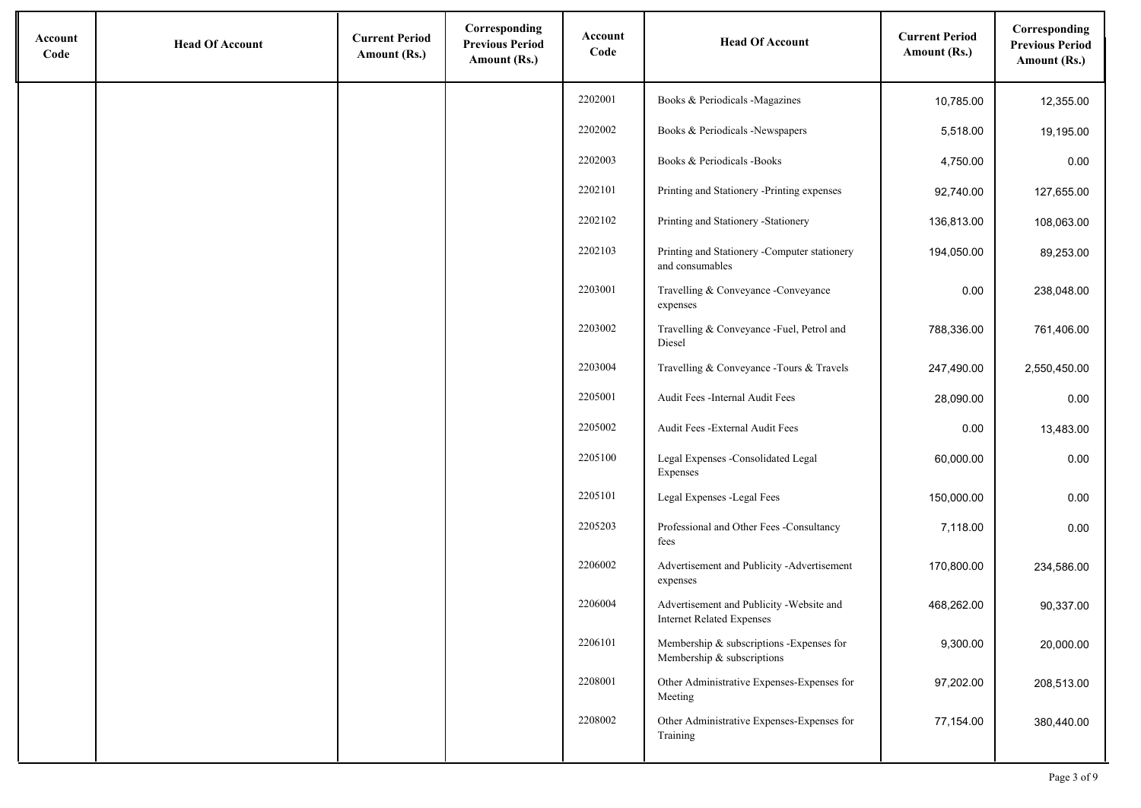| Account<br>Code | <b>Head Of Account</b> | <b>Current Period</b><br>Amount (Rs.) | Corresponding<br><b>Previous Period</b><br>Amount (Rs.) | Account<br>Code | <b>Head Of Account</b>                                                        | <b>Current Period</b><br>Amount (Rs.) | Corresponding<br><b>Previous Period</b><br>Amount (Rs.) |
|-----------------|------------------------|---------------------------------------|---------------------------------------------------------|-----------------|-------------------------------------------------------------------------------|---------------------------------------|---------------------------------------------------------|
|                 |                        |                                       |                                                         | 2202001         | Books & Periodicals -Magazines                                                | 10,785.00                             | 12,355.00                                               |
|                 |                        |                                       |                                                         | 2202002         | Books & Periodicals -Newspapers                                               | 5,518.00                              | 19,195.00                                               |
|                 |                        |                                       |                                                         | 2202003         | Books & Periodicals -Books                                                    | 4,750.00                              | 0.00                                                    |
|                 |                        |                                       |                                                         | 2202101         | Printing and Stationery -Printing expenses                                    | 92,740.00                             | 127,655.00                                              |
|                 |                        |                                       |                                                         | 2202102         | Printing and Stationery -Stationery                                           | 136,813.00                            | 108,063.00                                              |
|                 |                        |                                       |                                                         | 2202103         | Printing and Stationery -Computer stationery<br>and consumables               | 194,050.00                            | 89,253.00                                               |
|                 |                        |                                       |                                                         | 2203001         | Travelling & Conveyance -Conveyance<br>expenses                               | 0.00                                  | 238,048.00                                              |
|                 |                        |                                       |                                                         | 2203002         | Travelling & Conveyance -Fuel, Petrol and<br>Diesel                           | 788,336.00                            | 761,406.00                                              |
|                 |                        |                                       |                                                         | 2203004         | Travelling & Conveyance - Tours & Travels                                     | 247,490.00                            | 2,550,450.00                                            |
|                 |                        |                                       |                                                         | 2205001         | Audit Fees -Internal Audit Fees                                               | 28,090.00                             | 0.00                                                    |
|                 |                        |                                       |                                                         | 2205002         | Audit Fees - External Audit Fees                                              | 0.00                                  | 13,483.00                                               |
|                 |                        |                                       |                                                         | 2205100         | Legal Expenses -Consolidated Legal<br>Expenses                                | 60,000.00                             | 0.00                                                    |
|                 |                        |                                       |                                                         | 2205101         | Legal Expenses -Legal Fees                                                    | 150,000.00                            | 0.00                                                    |
|                 |                        |                                       |                                                         | 2205203         | Professional and Other Fees -Consultancy<br>fees                              | 7,118.00                              | 0.00                                                    |
|                 |                        |                                       |                                                         | 2206002         | Advertisement and Publicity -Advertisement<br>expenses                        | 170,800.00                            | 234,586.00                                              |
|                 |                        |                                       |                                                         | 2206004         | Advertisement and Publicity - Website and<br><b>Internet Related Expenses</b> | 468,262.00                            | 90,337.00                                               |
|                 |                        |                                       |                                                         | 2206101         | Membership & subscriptions -Expenses for<br>Membership & subscriptions        | 9,300.00                              | 20,000.00                                               |
|                 |                        |                                       |                                                         | 2208001         | Other Administrative Expenses-Expenses for<br>Meeting                         | 97,202.00                             | 208,513.00                                              |
|                 |                        |                                       |                                                         | 2208002         | Other Administrative Expenses-Expenses for<br>Training                        | 77,154.00                             | 380,440.00                                              |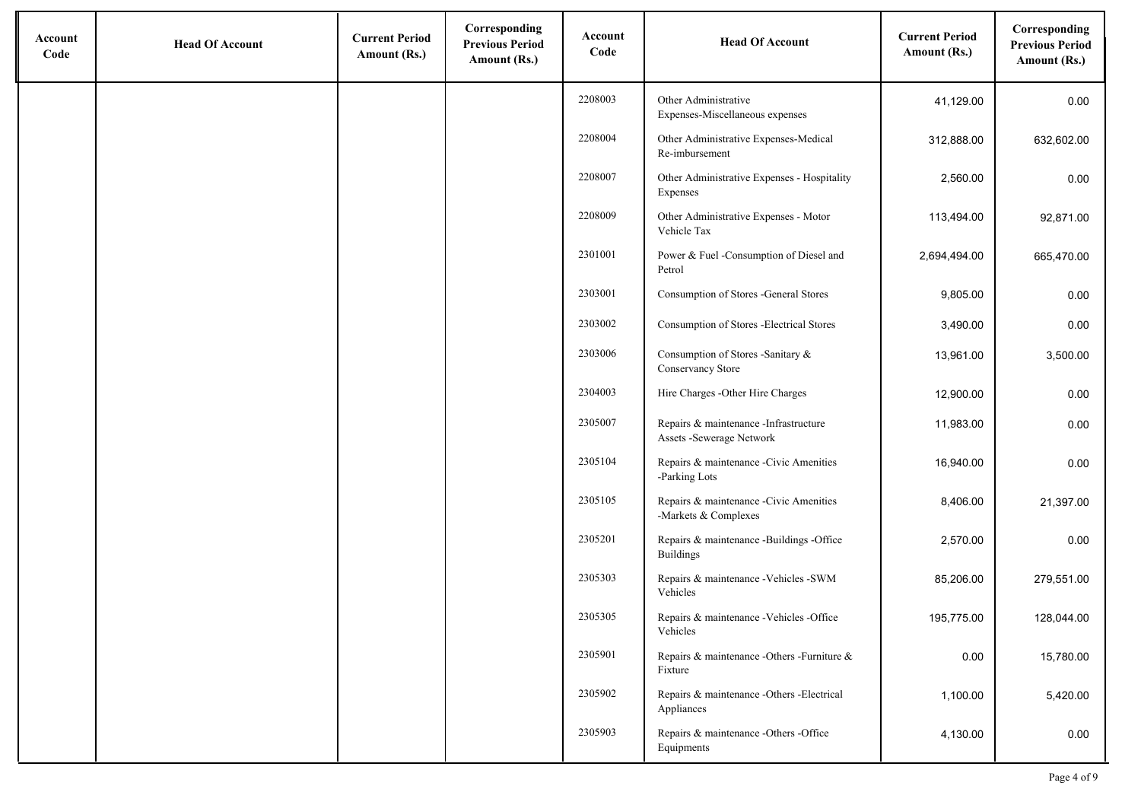| Account<br>Code | <b>Head Of Account</b> | <b>Current Period</b><br>Amount (Rs.) | Corresponding<br><b>Previous Period</b><br>Amount (Rs.) | Account<br>Code | <b>Head Of Account</b>                                              | <b>Current Period</b><br>Amount (Rs.) | Corresponding<br><b>Previous Period</b><br>Amount (Rs.) |
|-----------------|------------------------|---------------------------------------|---------------------------------------------------------|-----------------|---------------------------------------------------------------------|---------------------------------------|---------------------------------------------------------|
|                 |                        |                                       |                                                         | 2208003         | Other Administrative<br>Expenses-Miscellaneous expenses             | 41,129.00                             | 0.00                                                    |
|                 |                        |                                       |                                                         | 2208004         | Other Administrative Expenses-Medical<br>Re-imbursement             | 312,888.00                            | 632,602.00                                              |
|                 |                        |                                       |                                                         | 2208007         | Other Administrative Expenses - Hospitality<br>Expenses             | 2,560.00                              | 0.00                                                    |
|                 |                        |                                       |                                                         | 2208009         | Other Administrative Expenses - Motor<br>Vehicle Tax                | 113,494.00                            | 92,871.00                                               |
|                 |                        |                                       |                                                         | 2301001         | Power & Fuel -Consumption of Diesel and<br>Petrol                   | 2,694,494.00                          | 665,470.00                                              |
|                 |                        |                                       |                                                         | 2303001         | Consumption of Stores -General Stores                               | 9,805.00                              | 0.00                                                    |
|                 |                        |                                       |                                                         | 2303002         | Consumption of Stores - Electrical Stores                           | 3,490.00                              | 0.00                                                    |
|                 |                        |                                       |                                                         | 2303006         | Consumption of Stores -Sanitary &<br>Conservancy Store              | 13,961.00                             | 3,500.00                                                |
|                 |                        |                                       |                                                         | 2304003         | Hire Charges - Other Hire Charges                                   | 12,900.00                             | 0.00                                                    |
|                 |                        |                                       |                                                         | 2305007         | Repairs & maintenance - Infrastructure<br>Assets - Sewerage Network | 11,983.00                             | 0.00                                                    |
|                 |                        |                                       |                                                         | 2305104         | Repairs & maintenance -Civic Amenities<br>-Parking Lots             | 16,940.00                             | 0.00                                                    |
|                 |                        |                                       |                                                         | 2305105         | Repairs & maintenance -Civic Amenities<br>-Markets & Complexes      | 8,406.00                              | 21,397.00                                               |
|                 |                        |                                       |                                                         | 2305201         | Repairs & maintenance -Buildings -Office<br><b>Buildings</b>        | 2,570.00                              | 0.00                                                    |
|                 |                        |                                       |                                                         | 2305303         | Repairs & maintenance - Vehicles - SWM<br>Vehicles                  | 85,206.00                             | 279,551.00                                              |
|                 |                        |                                       |                                                         | 2305305         | Repairs & maintenance - Vehicles - Office<br>Vehicles               | 195,775.00                            | 128,044.00                                              |
|                 |                        |                                       |                                                         | 2305901         | Repairs & maintenance -Others -Furniture &<br>Fixture               | 0.00                                  | 15,780.00                                               |
|                 |                        |                                       |                                                         | 2305902         | Repairs & maintenance -Others -Electrical<br>Appliances             | 1,100.00                              | 5,420.00                                                |
|                 |                        |                                       |                                                         | 2305903         | Repairs & maintenance -Others -Office<br>Equipments                 | 4,130.00                              | 0.00                                                    |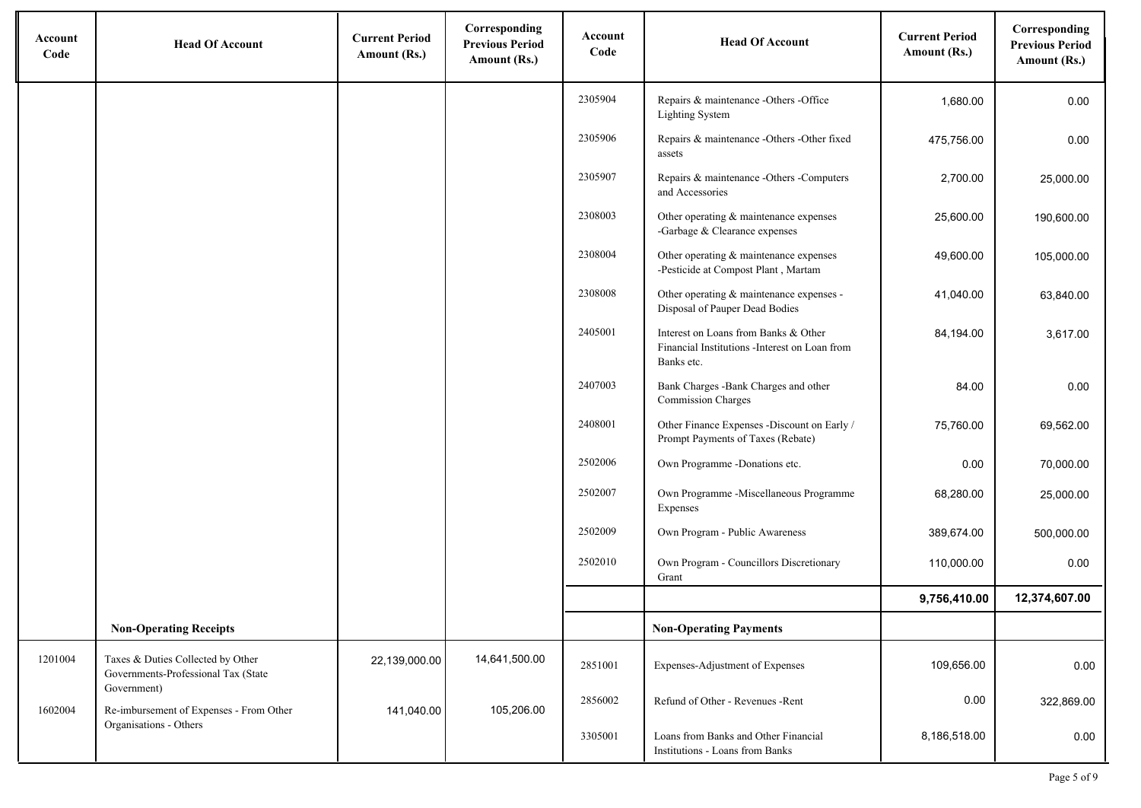| Account<br>Code | <b>Head Of Account</b>                                                                  | <b>Current Period</b><br>Amount (Rs.) | Corresponding<br><b>Previous Period</b><br>Amount (Rs.) | Account<br>Code | <b>Head Of Account</b>                                                                              | <b>Current Period</b><br>Amount (Rs.) | Corresponding<br><b>Previous Period</b><br>Amount (Rs.) |
|-----------------|-----------------------------------------------------------------------------------------|---------------------------------------|---------------------------------------------------------|-----------------|-----------------------------------------------------------------------------------------------------|---------------------------------------|---------------------------------------------------------|
|                 |                                                                                         |                                       |                                                         | 2305904         | Repairs & maintenance -Others -Office<br><b>Lighting System</b>                                     | 1,680.00                              | 0.00                                                    |
|                 |                                                                                         |                                       |                                                         | 2305906         | Repairs & maintenance -Others -Other fixed<br>assets                                                | 475,756.00                            | 0.00                                                    |
|                 |                                                                                         |                                       |                                                         | 2305907         | Repairs & maintenance -Others -Computers<br>and Accessories                                         | 2,700.00                              | 25,000.00                                               |
|                 |                                                                                         |                                       |                                                         | 2308003         | Other operating & maintenance expenses<br>-Garbage & Clearance expenses                             | 25,600.00                             | 190,600.00                                              |
|                 |                                                                                         |                                       |                                                         | 2308004         | Other operating & maintenance expenses<br>-Pesticide at Compost Plant, Martam                       | 49,600.00                             | 105,000.00                                              |
|                 |                                                                                         |                                       |                                                         | 2308008         | Other operating & maintenance expenses -<br>Disposal of Pauper Dead Bodies                          | 41,040.00                             | 63,840.00                                               |
|                 |                                                                                         |                                       |                                                         | 2405001         | Interest on Loans from Banks & Other<br>Financial Institutions -Interest on Loan from<br>Banks etc. | 84,194.00                             | 3,617.00                                                |
|                 |                                                                                         |                                       |                                                         | 2407003         | Bank Charges -Bank Charges and other<br><b>Commission Charges</b>                                   | 84.00                                 | 0.00                                                    |
|                 |                                                                                         |                                       |                                                         | 2408001         | Other Finance Expenses -Discount on Early /<br>Prompt Payments of Taxes (Rebate)                    | 75,760.00                             | 69,562.00                                               |
|                 |                                                                                         |                                       |                                                         | 2502006         | Own Programme -Donations etc.                                                                       | 0.00                                  | 70,000.00                                               |
|                 |                                                                                         |                                       |                                                         | 2502007         | Own Programme -Miscellaneous Programme<br>Expenses                                                  | 68,280.00                             | 25,000.00                                               |
|                 |                                                                                         |                                       |                                                         | 2502009         | Own Program - Public Awareness                                                                      | 389,674.00                            | 500,000.00                                              |
|                 |                                                                                         |                                       |                                                         | 2502010         | Own Program - Councillors Discretionary<br>Grant                                                    | 110,000.00                            | 0.00                                                    |
|                 |                                                                                         |                                       |                                                         |                 |                                                                                                     | 9,756,410.00                          | 12,374,607.00                                           |
|                 | <b>Non-Operating Receipts</b>                                                           |                                       |                                                         |                 | <b>Non-Operating Payments</b>                                                                       |                                       |                                                         |
| 1201004         | Taxes & Duties Collected by Other<br>Governments-Professional Tax (State<br>Government) | 22,139,000.00                         | 14,641,500.00                                           | 2851001         | Expenses-Adjustment of Expenses                                                                     | 109,656.00                            | 0.00                                                    |
| 1602004         | Re-imbursement of Expenses - From Other                                                 | 141,040.00                            | 105,206.00                                              | 2856002         | Refund of Other - Revenues - Rent                                                                   | 0.00                                  | 322,869.00                                              |
|                 | Organisations - Others                                                                  |                                       |                                                         | 3305001         | Loans from Banks and Other Financial<br>Institutions - Loans from Banks                             | 8,186,518.00                          | 0.00                                                    |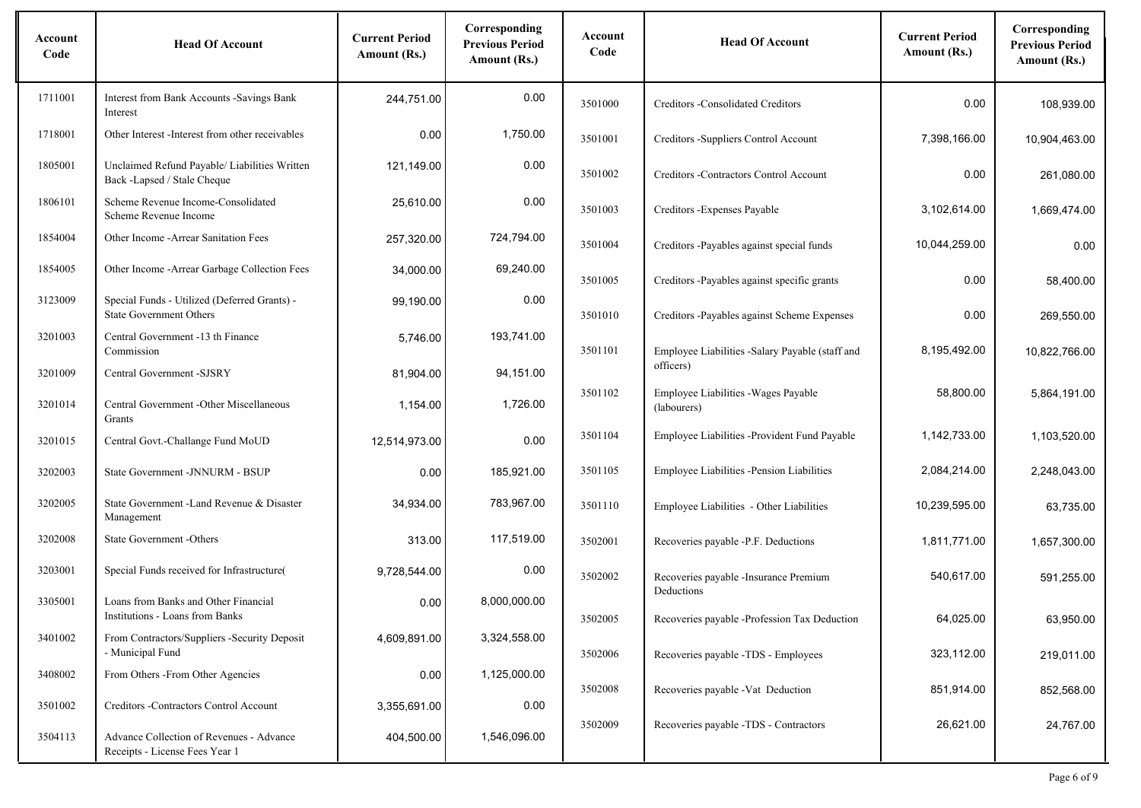| Account<br>Code | <b>Head Of Account</b>                                                         | <b>Current Period</b><br>Amount (Rs.) | Corresponding<br><b>Previous Period</b><br>Amount (Rs.) | Account<br>Code | <b>Head Of Account</b>                                     | <b>Current Period</b><br>Amount (Rs.) | Corresponding<br><b>Previous Period</b><br>Amount (Rs.) |
|-----------------|--------------------------------------------------------------------------------|---------------------------------------|---------------------------------------------------------|-----------------|------------------------------------------------------------|---------------------------------------|---------------------------------------------------------|
| 1711001         | Interest from Bank Accounts - Savings Bank<br>Interest                         | 244,751.00                            | 0.00                                                    | 3501000         | Creditors - Consolidated Creditors                         | 0.00                                  | 108,939.00                                              |
| 1718001         | Other Interest - Interest from other receivables                               | 0.00                                  | 1,750.00                                                | 3501001         | Creditors -Suppliers Control Account                       | 7,398,166.00                          | 10,904,463.00                                           |
| 1805001         | Unclaimed Refund Payable/ Liabilities Written<br>Back -Lapsed / Stale Cheque   | 121,149.00                            | 0.00                                                    | 3501002         | Creditors - Contractors Control Account                    | 0.00                                  | 261,080.00                                              |
| 1806101         | Scheme Revenue Income-Consolidated<br>Scheme Revenue Income                    | 25,610.00                             | 0.00                                                    | 3501003         | Creditors - Expenses Payable                               | 3,102,614.00                          | 1,669,474.00                                            |
| 1854004         | Other Income - Arrear Sanitation Fees                                          | 257,320.00                            | 724,794.00                                              | 3501004         | Creditors -Payables against special funds                  | 10,044,259.00                         | 0.00                                                    |
| 1854005         | Other Income - Arrear Garbage Collection Fees                                  | 34,000.00                             | 69,240.00                                               | 3501005         | Creditors -Payables against specific grants                | 0.00                                  | 58,400.00                                               |
| 3123009         | Special Funds - Utilized (Deferred Grants) -<br><b>State Government Others</b> | 99,190.00                             | 0.00                                                    | 3501010         | Creditors -Payables against Scheme Expenses                | 0.00                                  | 269,550.00                                              |
| 3201003         | Central Government -13 th Finance<br>Commission                                | 5,746.00                              | 193,741.00                                              | 3501101         | Employee Liabilities -Salary Payable (staff and            | 8,195,492.00                          | 10,822,766.00                                           |
| 3201009         | Central Government -SJSRY                                                      | 81,904.00                             | 94,151.00                                               |                 | officers)                                                  |                                       |                                                         |
| 3201014         | Central Government - Other Miscellaneous<br>Grants                             | 1,154.00                              | 1,726.00                                                | 3501102         | Employee Liabilities - Wages Payable<br>(labourers)        | 58,800.00                             | 5,864,191.00                                            |
| 3201015         | Central Govt.-Challange Fund MoUD                                              | 12,514,973.00                         | 0.00                                                    | 3501104         | Employee Liabilities -Provident Fund Payable               | 1,142,733.00                          | 1,103,520.00                                            |
| 3202003         | State Government -JNNURM - BSUP                                                | 0.00                                  | 185,921.00                                              | 3501105         | Employee Liabilities -Pension Liabilities                  | 2,084,214.00                          | 2,248,043.00                                            |
| 3202005         | State Government - Land Revenue & Disaster<br>Management                       | 34,934.00                             | 783,967.00                                              | 3501110         | Employee Liabilities - Other Liabilities                   | 10,239,595.00                         | 63,735.00                                               |
| 3202008         | State Government -Others                                                       | 313.00                                | 117,519.00                                              | 3502001         | Recoveries payable -P.F. Deductions                        | 1,811,771.00                          | 1,657,300.00                                            |
| 3203001         | Special Funds received for Infrastructure(                                     | 9,728,544.00                          | 0.00                                                    | 3502002         | Recoveries payable -Insurance Premium                      | 540.617.00                            | 591,255.00                                              |
| 3305001         | Loans from Banks and Other Financial<br>Institutions - Loans from Banks        | 0.00                                  | 8,000,000.00                                            | 3502005         | Deductions<br>Recoveries payable -Profession Tax Deduction | 64,025.00                             | 63,950.00                                               |
| 3401002         | From Contractors/Suppliers -Security Deposit<br>- Municipal Fund               | 4,609,891.00                          | 3,324,558.00                                            |                 |                                                            |                                       |                                                         |
| 3408002         | From Others - From Other Agencies                                              | 0.00                                  | 1,125,000.00                                            | 3502006         | Recoveries payable -TDS - Employees                        | 323,112.00                            | 219,011.00                                              |
| 3501002         | Creditors -Contractors Control Account                                         | 3,355,691.00                          | 0.00                                                    | 3502008         | Recoveries payable -Vat Deduction                          | 851,914.00                            | 852,568.00                                              |
| 3504113         | Advance Collection of Revenues - Advance<br>Receipts - License Fees Year 1     | 404,500.00                            | 1,546,096.00                                            | 3502009         | Recoveries payable -TDS - Contractors                      | 26,621.00                             | 24,767.00                                               |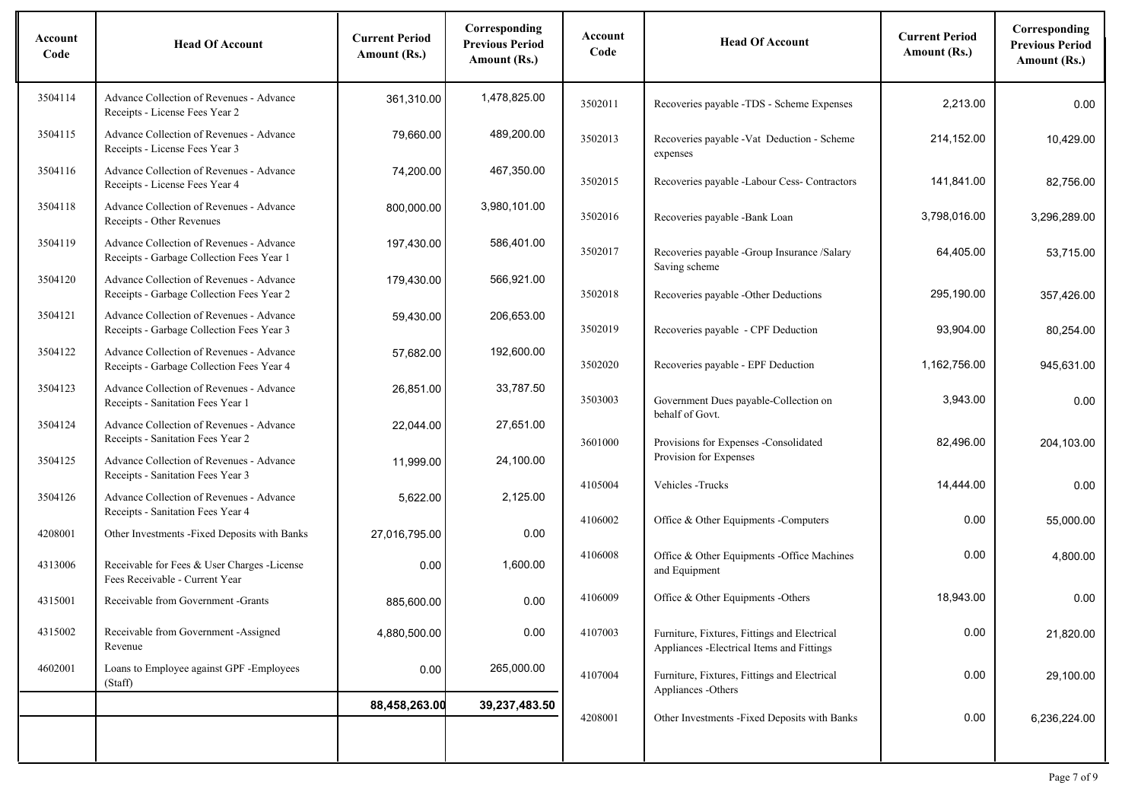| Account<br>Code | <b>Head Of Account</b>                                                                | <b>Current Period</b><br>Amount (Rs.) | Corresponding<br><b>Previous Period</b><br>Amount (Rs.) | Account<br>Code | <b>Head Of Account</b>                                                                     | <b>Current Period</b><br>Amount (Rs.) | Corresponding<br><b>Previous Period</b><br>Amount (Rs.) |
|-----------------|---------------------------------------------------------------------------------------|---------------------------------------|---------------------------------------------------------|-----------------|--------------------------------------------------------------------------------------------|---------------------------------------|---------------------------------------------------------|
| 3504114         | Advance Collection of Revenues - Advance<br>Receipts - License Fees Year 2            | 361,310.00                            | 1.478.825.00                                            | 3502011         | Recoveries payable -TDS - Scheme Expenses                                                  | 2.213.00                              | 0.00                                                    |
| 3504115         | Advance Collection of Revenues - Advance<br>Receipts - License Fees Year 3            | 79,660.00                             | 489,200.00                                              | 3502013         | Recoveries payable - Vat Deduction - Scheme<br>expenses                                    | 214,152.00                            | 10,429.00                                               |
| 3504116         | Advance Collection of Revenues - Advance<br>Receipts - License Fees Year 4            | 74,200.00                             | 467,350.00                                              | 3502015         | Recoveries payable -Labour Cess- Contractors                                               | 141,841.00                            | 82,756.00                                               |
| 3504118         | Advance Collection of Revenues - Advance<br>Receipts - Other Revenues                 | 800,000.00                            | 3,980,101.00                                            | 3502016         | Recoveries payable -Bank Loan                                                              | 3,798,016.00                          | 3,296,289.00                                            |
| 3504119         | Advance Collection of Revenues - Advance<br>Receipts - Garbage Collection Fees Year 1 | 197,430.00                            | 586,401.00                                              | 3502017         | Recoveries payable -Group Insurance /Salary<br>Saving scheme                               | 64,405.00                             | 53,715.00                                               |
| 3504120         | Advance Collection of Revenues - Advance<br>Receipts - Garbage Collection Fees Year 2 | 179,430.00                            | 566,921.00                                              | 3502018         | Recoveries payable -Other Deductions                                                       | 295,190.00                            | 357,426.00                                              |
| 3504121         | Advance Collection of Revenues - Advance<br>Receipts - Garbage Collection Fees Year 3 | 59,430.00                             | 206,653.00                                              | 3502019         | Recoveries payable - CPF Deduction                                                         | 93,904.00                             | 80,254.00                                               |
| 3504122         | Advance Collection of Revenues - Advance<br>Receipts - Garbage Collection Fees Year 4 | 57,682.00                             | 192,600.00                                              | 3502020         | Recoveries payable - EPF Deduction                                                         | 1,162,756.00                          | 945,631.00                                              |
| 3504123         | Advance Collection of Revenues - Advance<br>Receipts - Sanitation Fees Year 1         | 26,851.00                             | 33,787.50                                               | 3503003         | Government Dues payable-Collection on<br>behalf of Govt.                                   | 3,943.00                              | 0.00                                                    |
| 3504124         | Advance Collection of Revenues - Advance<br>Receipts - Sanitation Fees Year 2         | 22,044.00                             | 27,651.00                                               | 3601000         | Provisions for Expenses -Consolidated                                                      | 82,496.00                             | 204,103.00                                              |
| 3504125         | Advance Collection of Revenues - Advance<br>Receipts - Sanitation Fees Year 3         | 11,999.00                             | 24,100.00                                               | 4105004         | Provision for Expenses<br>Vehicles - Trucks                                                | 14,444.00                             | 0.00                                                    |
| 3504126         | Advance Collection of Revenues - Advance<br>Receipts - Sanitation Fees Year 4         | 5,622.00                              | 2,125.00                                                | 4106002         | Office & Other Equipments - Computers                                                      | 0.00                                  | 55,000.00                                               |
| 4208001         | Other Investments -Fixed Deposits with Banks                                          | 27,016,795.00                         | 0.00                                                    |                 |                                                                                            |                                       |                                                         |
| 4313006         | Receivable for Fees & User Charges -License<br>Fees Receivable - Current Year         | 0.00                                  | 1,600.00                                                | 4106008         | Office & Other Equipments -Office Machines<br>and Equipment                                | 0.00                                  | 4,800.00                                                |
| 4315001         | Receivable from Government -Grants                                                    | 885,600.00                            | 0.00                                                    | 4106009         | Office & Other Equipments -Others                                                          | 18,943.00                             | 0.00                                                    |
| 4315002         | Receivable from Government -Assigned<br>Revenue                                       | 4,880,500.00                          | 0.00                                                    | 4107003         | Furniture, Fixtures, Fittings and Electrical<br>Appliances - Electrical Items and Fittings | 0.00                                  | 21,820.00                                               |
| 4602001         | Loans to Employee against GPF - Employees<br>(Staff)                                  | 0.00                                  | 265,000.00                                              | 4107004         | Furniture, Fixtures, Fittings and Electrical<br>Appliances -Others                         | 0.00                                  | 29,100.00                                               |
|                 |                                                                                       | 88,458,263.00                         | 39,237,483.50                                           | 4208001         | Other Investments -Fixed Deposits with Banks                                               | 0.00                                  | 6,236,224.00                                            |
|                 |                                                                                       |                                       |                                                         |                 |                                                                                            |                                       |                                                         |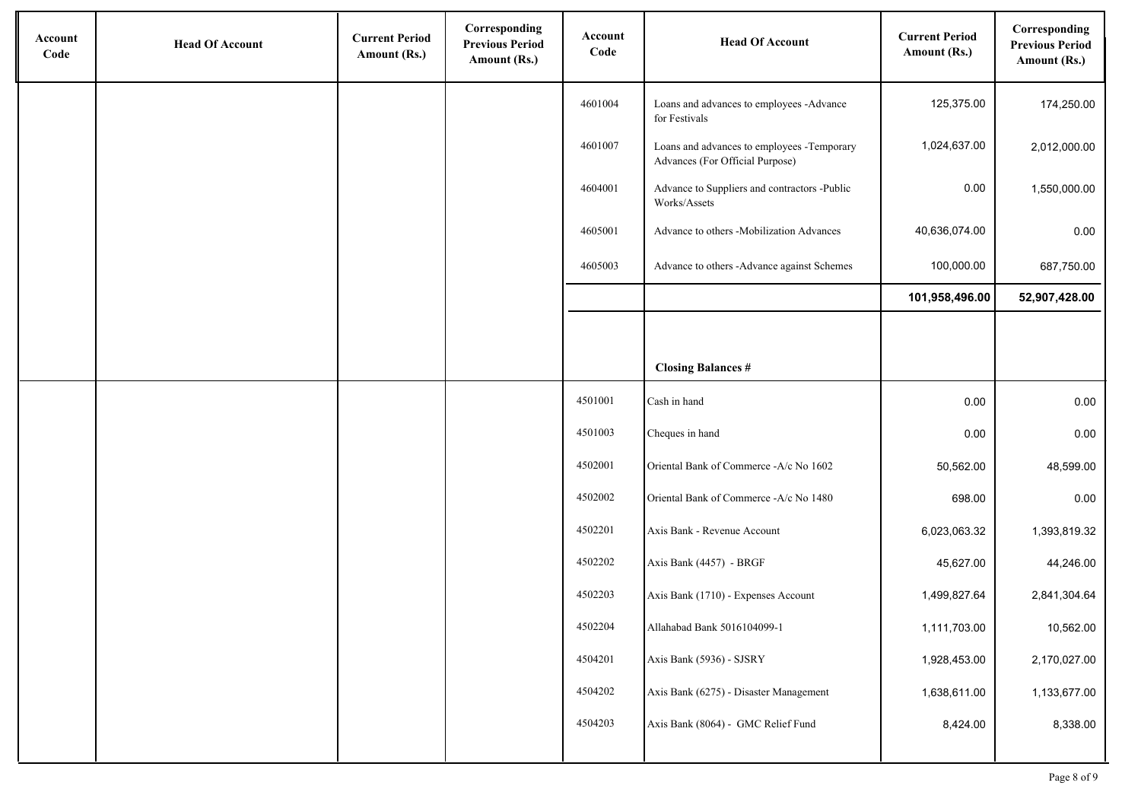| Account<br>Code | <b>Head Of Account</b> | <b>Current Period</b><br>Amount (Rs.) | Corresponding<br><b>Previous Period</b><br>Amount (Rs.) | Account<br>Code | <b>Head Of Account</b>                                                        | <b>Current Period</b><br>Amount (Rs.) | Corresponding<br><b>Previous Period</b><br>Amount (Rs.) |
|-----------------|------------------------|---------------------------------------|---------------------------------------------------------|-----------------|-------------------------------------------------------------------------------|---------------------------------------|---------------------------------------------------------|
|                 |                        |                                       |                                                         | 4601004         | Loans and advances to employees -Advance<br>for Festivals                     | 125,375.00                            | 174,250.00                                              |
|                 |                        |                                       |                                                         | 4601007         | Loans and advances to employees -Temporary<br>Advances (For Official Purpose) | 1,024,637.00                          | 2,012,000.00                                            |
|                 |                        |                                       |                                                         | 4604001         | Advance to Suppliers and contractors -Public<br>Works/Assets                  | 0.00                                  | 1,550,000.00                                            |
|                 |                        |                                       |                                                         | 4605001         | Advance to others -Mobilization Advances                                      | 40,636,074.00                         | 0.00                                                    |
|                 |                        |                                       |                                                         | 4605003         | Advance to others -Advance against Schemes                                    | 100,000.00                            | 687,750.00                                              |
|                 |                        |                                       |                                                         |                 |                                                                               | 101,958,496.00                        | 52,907,428.00                                           |
|                 |                        |                                       |                                                         |                 |                                                                               |                                       |                                                         |
|                 |                        |                                       |                                                         |                 | <b>Closing Balances #</b>                                                     |                                       |                                                         |
|                 |                        |                                       |                                                         | 4501001         | Cash in hand                                                                  | 0.00                                  | 0.00                                                    |
|                 |                        |                                       |                                                         | 4501003         | Cheques in hand                                                               | 0.00                                  | 0.00                                                    |
|                 |                        |                                       |                                                         | 4502001         | Oriental Bank of Commerce -A/c No 1602                                        | 50,562.00                             | 48,599.00                                               |
|                 |                        |                                       |                                                         | 4502002         | Oriental Bank of Commerce -A/c No 1480                                        | 698.00                                | 0.00                                                    |
|                 |                        |                                       |                                                         | 4502201         | Axis Bank - Revenue Account                                                   | 6,023,063.32                          | 1,393,819.32                                            |
|                 |                        |                                       |                                                         | 4502202         | Axis Bank (4457) - BRGF                                                       | 45,627.00                             | 44,246.00                                               |
|                 |                        |                                       |                                                         | 4502203         | Axis Bank (1710) - Expenses Account                                           | 1,499,827.64                          | 2,841,304.64                                            |
|                 |                        |                                       |                                                         | 4502204         | Allahabad Bank 5016104099-1                                                   | 1,111,703.00                          | 10,562.00                                               |
|                 |                        |                                       |                                                         | 4504201         | Axis Bank (5936) - SJSRY                                                      | 1,928,453.00                          | 2,170,027.00                                            |
|                 |                        |                                       |                                                         | 4504202         | Axis Bank (6275) - Disaster Management                                        | 1,638,611.00                          | 1,133,677.00                                            |
|                 |                        |                                       |                                                         | 4504203         | Axis Bank (8064) - GMC Relief Fund                                            | 8,424.00                              | 8,338.00                                                |
|                 |                        |                                       |                                                         |                 |                                                                               |                                       |                                                         |